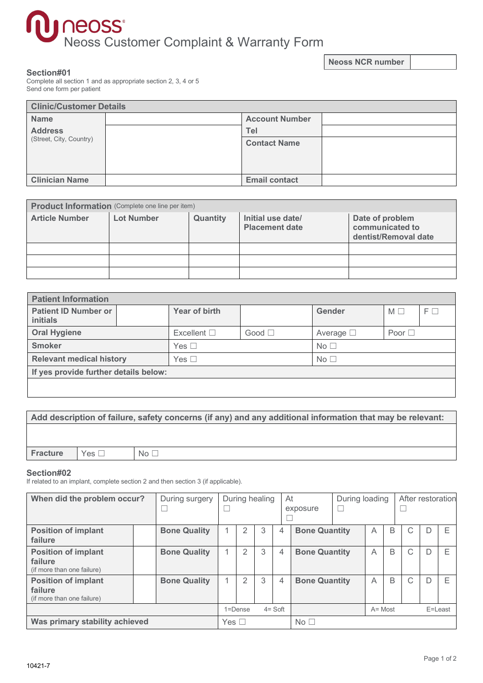# neoss<sup>®</sup><br>Neoss Customer Complaint & Warranty Form

**Neoss NCR number**

## **Section#01**

Complete all section 1 and as appropriate section 2, 3, 4 or 5 Send one form per patient

| <b>Clinic/Customer Details</b> |  |                       |  |  |  |  |  |
|--------------------------------|--|-----------------------|--|--|--|--|--|
| <b>Name</b>                    |  | <b>Account Number</b> |  |  |  |  |  |
| <b>Address</b>                 |  | Tel                   |  |  |  |  |  |
| (Street, City, Country)        |  | <b>Contact Name</b>   |  |  |  |  |  |
| <b>Clinician Name</b>          |  | <b>Email contact</b>  |  |  |  |  |  |

| <b>Product Information</b> (Complete one line per item) |                   |          |                                            |                                                            |  |  |  |  |
|---------------------------------------------------------|-------------------|----------|--------------------------------------------|------------------------------------------------------------|--|--|--|--|
| <b>Article Number</b>                                   | <b>Lot Number</b> | Quantity | Initial use date/<br><b>Placement date</b> | Date of problem<br>communicated to<br>dentist/Removal date |  |  |  |  |
|                                                         |                   |          |                                            |                                                            |  |  |  |  |
|                                                         |                   |          |                                            |                                                            |  |  |  |  |
|                                                         |                   |          |                                            |                                                            |  |  |  |  |

| <b>Patient Information</b>              |  |                     |                |                   |             |          |  |  |
|-----------------------------------------|--|---------------------|----------------|-------------------|-------------|----------|--|--|
| <b>Patient ID Number or</b><br>initials |  | Year of birth       |                | Gender            | $M \Box$    | $F \Box$ |  |  |
| <b>Oral Hygiene</b>                     |  | Excellent $\square$ | Good $\square$ | Average $\square$ | Poor $\Box$ |          |  |  |
| <b>Smoker</b>                           |  | Yes $\Box$          |                | No <sub>1</sub>   |             |          |  |  |
| <b>Relevant medical history</b>         |  | Yes $\Box$          |                | No <sub>1</sub>   |             |          |  |  |
| If yes provide further details below:   |  |                     |                |                   |             |          |  |  |
|                                         |  |                     |                |                   |             |          |  |  |

## **Add description of failure, safety concerns (if any) and any additional information that may be relevant:**

**Fracture** Yes □ No □

## **Section#02**

If related to an implant, complete section 2 and then section 3 (if applicable).

| When did the problem occur?                                         |  | During surgery      |  |             | During healing |                 | At<br>exposure       | During loading<br>L |                |   | After restoration |   |         |
|---------------------------------------------------------------------|--|---------------------|--|-------------|----------------|-----------------|----------------------|---------------------|----------------|---|-------------------|---|---------|
| <b>Position of implant</b><br>failure                               |  | <b>Bone Quality</b> |  | 2           | 3              | 4               | <b>Bone Quantity</b> |                     | $\overline{A}$ | B | C                 |   | E       |
| <b>Position of implant</b><br>failure<br>(if more than one failure) |  | <b>Bone Quality</b> |  | 2           | 3              | 4               | <b>Bone Quantity</b> |                     | A              | B | C                 | D | E       |
| <b>Position of implant</b><br>failure<br>(if more than one failure) |  | <b>Bone Quality</b> |  | 2           | 3              | 4               | <b>Bone Quantity</b> |                     | A              | B | С                 | D | E       |
|                                                                     |  |                     |  | $1 =$ Dense |                | $4 = Soft$      |                      |                     | $A = Most$     |   |                   |   | E=Least |
| Was primary stability achieved                                      |  | Yes $\Box$          |  |             |                | No <sub>1</sub> |                      |                     |                |   |                   |   |         |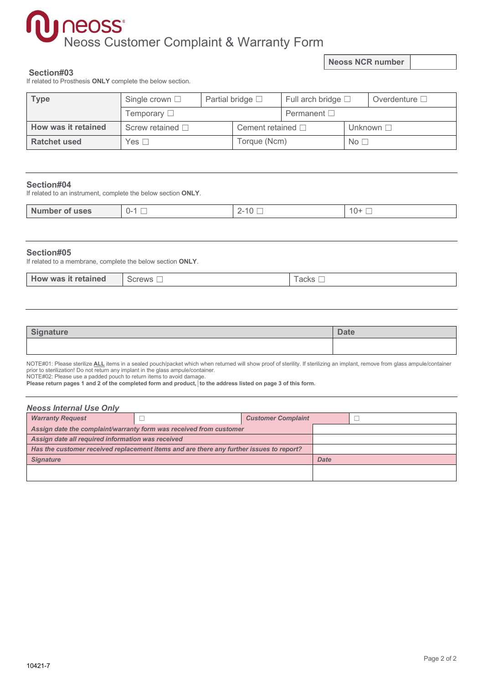# neoss Customer Complaint & Warranty Form

**Neoss NCR number**

### **Section#03**

If related to Prosthesis **ONLY** complete the below section.

| <b>Type</b>         | Partial bridge $\square$<br>Single crown $\Box$ |  |  | Full arch bridge $\square$ |  | Overdenture $\square$ |
|---------------------|-------------------------------------------------|--|--|----------------------------|--|-----------------------|
|                     | Temporary $\square$                             |  |  | Permanent $\square$        |  |                       |
| How was it retained | Screw retained $\square$                        |  |  | Cement retained $\square$  |  | Unknown $\square$     |
| <b>Ratchet used</b> | Yes $\Box$                                      |  |  | Torque (Ncm)               |  | No <sub>1</sub>       |

## **Section#04**

If related to an instrument, complete the below section **ONLY**.

| Number of<br><b>uses</b> | $-1 - 1$ | --<br>$\overline{\phantom{a}}$ | $10 +$<br>— |
|--------------------------|----------|--------------------------------|-------------|
|                          |          |                                |             |

## **Section#05**

If related to a membrane, complete the below section **ONLY**.

| How was it retained<br><b>MAINS</b><br>$\sim$<br>つし<br>◡ | aoko<br>auno |
|----------------------------------------------------------|--------------|
|----------------------------------------------------------|--------------|

| <b>Signature</b> | <b>Date</b> |
|------------------|-------------|
|                  |             |

NOTE#01: Please sterilize ALL items in a sealed pouch/packet which when returned will show proof of sterility. If sterilizing an implant, remove from glass ampule/container prior to sterilization! Do not return any implant in the glass ampule/container.

NOTE#02: Please use a padded pouch to return items to avoid damage.

Please return pages 1 and 2 of the completed form and product, ito the address listed on page 3 of this form.

| <b>Neoss Internal Use Only</b>                                                          |  |                           |  |  |  |  |  |  |
|-----------------------------------------------------------------------------------------|--|---------------------------|--|--|--|--|--|--|
| <b>Warranty Request</b>                                                                 |  | <b>Customer Complaint</b> |  |  |  |  |  |  |
| Assign date the complaint/warranty form was received from customer                      |  |                           |  |  |  |  |  |  |
| Assign date all required information was received                                       |  |                           |  |  |  |  |  |  |
| Has the customer received replacement items and are there any further issues to report? |  |                           |  |  |  |  |  |  |
| <b>Signature</b>                                                                        |  |                           |  |  |  |  |  |  |
|                                                                                         |  |                           |  |  |  |  |  |  |
|                                                                                         |  |                           |  |  |  |  |  |  |